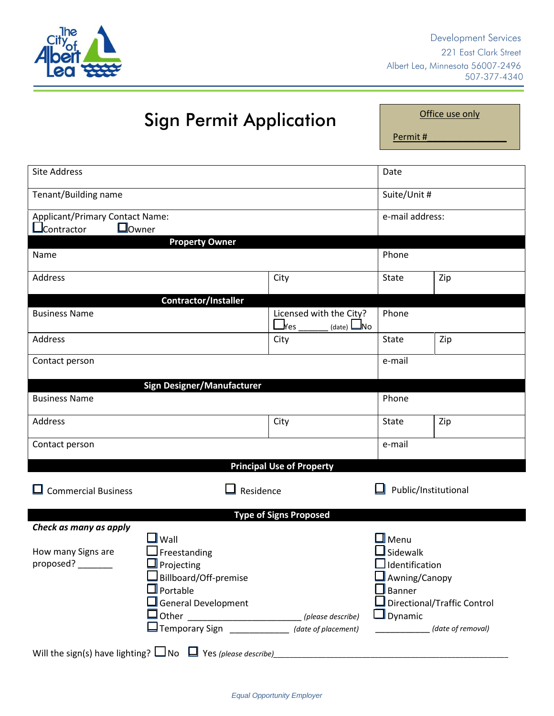

# Sign Permit Application

Office use only

Permit #\_\_\_\_\_\_\_\_\_\_\_\_\_\_\_\_

| <b>Site Address</b>                                                    |                                                        | Date            |                             |  |
|------------------------------------------------------------------------|--------------------------------------------------------|-----------------|-----------------------------|--|
| Tenant/Building name                                                   |                                                        | Suite/Unit #    |                             |  |
| Applicant/Primary Contact Name:                                        |                                                        | e-mail address: |                             |  |
| $\Box$ Owner<br><u>Jcontractor</u>                                     |                                                        |                 |                             |  |
| <b>Property Owner</b>                                                  |                                                        |                 |                             |  |
| Name                                                                   |                                                        | Phone           |                             |  |
| Address                                                                | City                                                   | State           | Zip                         |  |
| Contractor/Installer                                                   |                                                        |                 |                             |  |
| <b>Business Name</b>                                                   | Licensed with the City?<br>$\Box$ Yes<br>$(data)$ $Mo$ | Phone           |                             |  |
| <b>Address</b>                                                         | City                                                   | State           | Zip                         |  |
| Contact person                                                         |                                                        | e-mail          |                             |  |
| <b>Sign Designer/Manufacturer</b>                                      |                                                        |                 |                             |  |
| <b>Business Name</b>                                                   |                                                        | Phone           |                             |  |
| Address                                                                | City                                                   | State           | Zip                         |  |
| Contact person                                                         |                                                        | e-mail          |                             |  |
| <b>Principal Use of Property</b>                                       |                                                        |                 |                             |  |
| <b>Commercial Business</b>                                             | Residence                                              |                 | Public/Institutional        |  |
| <b>Type of Signs Proposed</b>                                          |                                                        |                 |                             |  |
| Check as many as apply                                                 |                                                        |                 |                             |  |
| $\mathsf{I}$ Wall                                                      |                                                        | $\Box$ Menu     |                             |  |
| How many Signs are<br>Freestanding                                     |                                                        | Sidewalk        |                             |  |
| proposed?<br>$\Box$ Projecting                                         |                                                        | Identification  |                             |  |
| Billboard/Off-premise                                                  |                                                        |                 | Awning/Canopy               |  |
| $\mathbb I$ Portable                                                   |                                                        | Banner          |                             |  |
| $\mathsf{\mathsf{I}}$ General Development                              |                                                        |                 | Directional/Traffic Control |  |
| □ Other _________________________________ (please describe)            |                                                        | $\Box$ Dynamic  |                             |  |
| $\Box$ Temporary Sign                                                  | (date of placement)                                    |                 | (date of removal)           |  |
| Will the sign(s) have lighting? $\Box$ No $\Box$ Yes (please describe) |                                                        |                 |                             |  |